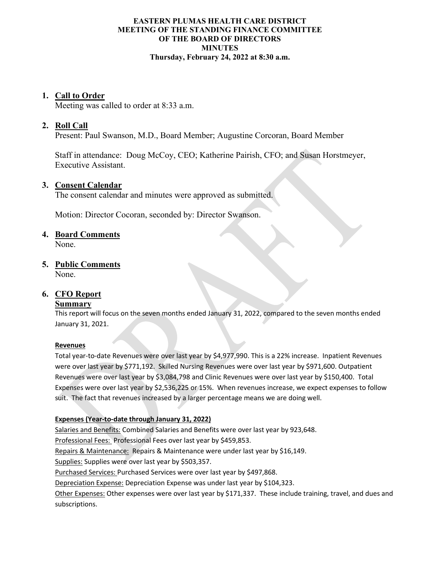## **EASTERN PLUMAS HEALTH CARE DISTRICT MEETING OF THE STANDING FINANCE COMMITTEE OF THE BOARD OF DIRECTORS MINUTES Thursday, February 24, 2022 at 8:30 a.m.**

# **1. Call to Order**

Meeting was called to order at 8:33 a.m.

# **2. Roll Call**

Present: Paul Swanson, M.D., Board Member; Augustine Corcoran, Board Member

Staff in attendance: Doug McCoy, CEO; Katherine Pairish, CFO; and Susan Horstmeyer, Executive Assistant.

## **3. Consent Calendar**

The consent calendar and minutes were approved as submitted.

Motion: Director Cocoran, seconded by: Director Swanson.

## **4. Board Comments**

None.

# **5. Public Comments**

None.

# **6. CFO Report**

# **Summary**

This report will focus on the seven months ended January 31, 2022, compared to the seven months ended January 31, 2021.

#### **Revenues**

Total year-to-date Revenues were over last year by \$4,977,990. This is a 22% increase. Inpatient Revenues were over last year by \$771,192. Skilled Nursing Revenues were over last year by \$971,600. Outpatient Revenues were over last year by \$3,084,798 and Clinic Revenues were over last year by \$150,400. Total Expenses were over last year by \$2,536,225 or 15%. When revenues increase, we expect expenses to follow suit. The fact that revenues increased by a larger percentage means we are doing well.

# **Expenses (Year-to-date through January 31, 2022)**

Salaries and Benefits: Combined Salaries and Benefits were over last year by 923,648.

Professional Fees: Professional Fees over last year by \$459,853.

Repairs & Maintenance: Repairs & Maintenance were under last year by \$16,149.

Supplies: Supplies were over last year by \$503,357.

Purchased Services: Purchased Services were over last year by \$497,868.

Depreciation Expense: Depreciation Expense was under last year by \$104,323.

Other Expenses: Other expenses were over last year by \$171,337. These include training, travel, and dues and subscriptions.